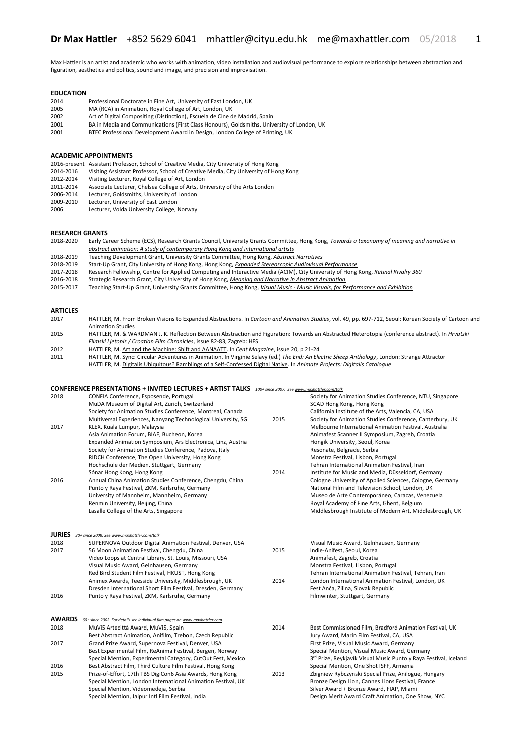Max Hattler is an artist and academic who works with animation, video installation and audiovisual performance to explore relationships between abstraction and figuration, aesthetics and politics, sound and image, and precision and improvisation.

# **EDUCATION**

- 2014 Professional Doctorate in Fine Art, University of East London, UK 2005 MA (RCA) in Animation, Royal College of Art, London, UK<br>2002 Art of Digital Compositing (Distinction), Escuela de Cine d
- 2002 Art of Digital Compositing (Distinction), Escuela de Cine de Madrid, Spain
- 2001 BA in Media and Communications (First Class Honours), Goldsmiths, University of London, UK
- BTEC Professional Development Award in Design, London College of Printing, UK

#### **ACADEMIC APPOINTMENTS**

- 2016-present Assistant Professor, School of Creative Media, City University of Hong Kong
- 2014-2016 Visiting Assistant Professor, School of Creative Media, City University of Hong Kong<br>2012-2014 Visiting Lecturer. Roval College of Art. London
- 2012-2014 Visiting Lecturer, Royal College of Art, London<br>2011-2014 Associate Lecturer, Chelsea College of Arts, Ur
- Associate Lecturer, Chelsea College of Arts, University of the Arts London
- 2006-2014 Lecturer, Goldsmiths, University of London<br>2009-2010 Lecturer. University of East London
- 2009-2010 Lecturer, University of East London<br>2006 Lecturer, Volda University College. Lecturer, Volda University College, Norway

# **RESEARCH GRANTS**<br>2018-2020 Early Ca

2018-2020 Early Career Scheme (ECS), Research Grants Council, University Grants Committee, Hong Kong, *Towards a taxonomy of meaning and narrative in abstract animation: A study of contemporary Hong Kong and international artists*

- 2018-2019 Teaching Development Grant, University Grants Committee, Hong Kong, *Abstract Narratives*
- 2018-2019 Start-Up Grant, City University of Hong Kong, Hong Kong, *Expanded Stereoscopic Audiovisual Performance*
- 2017-2018 Research Fellowship, Centre for Applied Computing and Interactive Media (ACIM), City University of Hong Kong, *Retinal Rivalry 360*
- 2016-2018 Strategic Research Grant, City University of Hong Kong, *[Meaning and Narrative in Abstract Animation](http://iris.cityu.edu.hk/generalpublic/ProjectInfo_GP.cfm?Pno=7004759)*
- 2015-2017 Teaching Start-Up Grant, University Grants Committee, Hong Kong, *Visual Music - [Music Visuals, for Performance and Exhibition](http://www.cityu.edu.hk/edge/grant/tdg/projects/projects_abstract/TDG_projects_a566.htm)*

# **ARTICLES**

- 2017 HATTLER, M. [From Broken Visions to Expanded Abstractions.](https://scholar.google.com.hk/scholar?oi=bibs&cluster=9256147247768956615&btnI=1&hl=en) In *Cartoon and Animation Studies*, vol. 49, pp. 697-712, Seoul: Korean Society of Cartoon and Animation Studies 2015 HATTLER, M. & WARDMAN J. K. Reflection Between Abstraction and Figuration: Towards an Abstracted Heterotopia (conference abstract). In *Hrvatski Filmski Ljetopis / Croatian Film Chronicles*, issue 82-83, Zagreb: HFS
- 
- 2012 HATTLER, M[. Art and the Machine: Shift and AANAATT.](http://www.maxhattler.com/texts/MaxHattler-ArtMachine__CentMagazine20_2012.pdf) In *Cent Magazine*, issue 20, p 21-24 2011 HATTLER, M[. Sync: Circular Adventures in Animation.](http://www.maxhattler.com/texts/MaxHattler_SyncCircular__TheEnd_2011.pdf) In Virginie Selavy (ed.) *The End: An Electric Sheep Anthology*, London: Strange Attractor HATTLER, M[. Digitalis Ubiquitous? Ramblings of a Self-Confessed Digital Native.](http://www.maxhattler.com/texts/MaxHattler_Ubiquitous__Digitalis-Catalogue_2011.pdf) In *Animate Projects: Digitalis Catalogue*

### **CONFERENCE PRESENTATIONS + INVITED LECTURES + ARTIST TALKS** *100+ since 2007. Se[e www.maxhattler.com/talk](http://www.maxhattler.com/talk)*

| 2018          | CONFIA Conference, Esposende, Portugal<br>MuDA Museum of Digital Art, Zurich, Switzerland |      | Society for Animation Studies Conference, NTU, Singapore<br>SCAD Hong Kong, Hong Kong |
|---------------|-------------------------------------------------------------------------------------------|------|---------------------------------------------------------------------------------------|
|               | Society for Animation Studies Conference, Montreal, Canada                                |      | California Institute of the Arts, Valencia, CA, USA                                   |
|               | Multiversal Experiences, Nanyang Technological University, SG                             | 2015 | Society for Animation Studies Conference, Canterbury, UK                              |
| 2017          | KLEX, Kuala Lumpur, Malaysia                                                              |      | Melbourne International Animation Festival, Australia                                 |
|               | Asia Animation Forum, BIAF, Bucheon, Korea                                                |      | Animafest Scanner II Symposium, Zagreb, Croatia                                       |
|               | Expanded Animation Symposium, Ars Electronica, Linz, Austria                              |      | Hongik University, Seoul, Korea                                                       |
|               | Society for Animation Studies Conference, Padova, Italy                                   |      | Resonate, Belgrade, Serbia                                                            |
|               | RIDCH Conference, The Open University, Hong Kong                                          |      | Monstra Festival, Lisbon, Portugal                                                    |
|               | Hochschule der Medien, Stuttgart, Germany                                                 |      | Tehran International Animation Festival, Iran                                         |
|               | Sónar Hong Kong, Hong Kong                                                                | 2014 | Institute for Music and Media, Düsseldorf, Germany                                    |
| 2016          | Annual China Animation Studies Conference, Chengdu, China                                 |      | Cologne University of Applied Sciences, Cologne, Germany                              |
|               | Punto y Raya Festival, ZKM, Karlsruhe, Germany                                            |      | National Film and Television School, London, UK                                       |
|               | University of Mannheim, Mannheim, Germany                                                 |      | Museo de Arte Contemporáneo, Caracas, Venezuela                                       |
|               | Renmin University, Beijing, China                                                         |      | Royal Academy of Fine Arts, Ghent, Belgium                                            |
|               | Lasalle College of the Arts, Singapore                                                    |      | Middlesbrough Institute of Modern Art, Middlesbrough, UK                              |
|               |                                                                                           |      |                                                                                       |
| <b>JURIES</b> | 30+ since 2008. See www.maxhattler.com/talk                                               |      |                                                                                       |
| 2018          | SUPERNOVA Outdoor Digital Animation Festival, Denver, USA                                 |      | Visual Music Award, Gelnhausen, Germany                                               |
| 2017          | 56 Moon Animation Festival, Chengdu, China                                                | 2015 | Indie-Anifest, Seoul, Korea                                                           |
|               | Video Loops at Central Library, St. Louis, Missouri, USA                                  |      | Animafest, Zagreb, Croatia                                                            |
|               | Visual Music Award, Gelnhausen, Germany                                                   |      | Monstra Festival, Lisbon, Portugal                                                    |
|               | Red Bird Student Film Festival, HKUST, Hong Kong                                          |      | Tehran International Animation Festival, Tehran, Iran                                 |
|               | Animex Awards, Teesside University, Middlesbrough, UK                                     | 2014 | London International Animation Festival, London, UK                                   |
|               | Dresden International Short Film Festival, Dresden, Germany                               |      | Fest Anča, Zilina, Slovak Republic                                                    |
| 2016          | Punto y Raya Festival, ZKM, Karlsruhe, Germany                                            |      | Filmwinter, Stuttgart, Germany                                                        |
| <b>AWARDS</b> | 60+ since 2002. For details see individual film pages on www.maxhattler.com               |      |                                                                                       |
| 2018          | MuVi5 Artecittà Award, MuVi5, Spain                                                       | 2014 | Best Commissioned Film, Bradford Animation Festival, UK                               |
|               | Best Abstract Animation, Anifilm, Trebon, Czech Republic                                  |      | Jury Award, Marin Film Festival, CA, USA                                              |
| 2017          | Grand Prize Award, Supernova Festival, Denver, USA                                        |      | First Prize, Visual Music Award, Germany                                              |
|               | Best Experimental Film, ReAnima Festival, Bergen, Norway                                  |      | Special Mention, Visual Music Award, Germany                                          |
|               | Special Mention, Experimental Category, CutOut Fest, Mexico                               |      | 3rd Prize, Reykjavík Visual Music Punto y Raya Festival, Iceland                      |
| 2016          | Best Abstract Film, Third Culture Film Festival, Hong Kong                                |      | Special Mention, One Shot ISFF, Armenia                                               |
| 2015          | Prize-of-Effort, 17th TBS DigiCon6 Asia Awards, Hong Kong                                 | 2013 | Zbigniew Rybczynski Special Prize, Anilogue, Hungary                                  |
|               | Special Mention, London International Animation Festival, UK                              |      | Bronze Design Lion, Cannes Lions Festival, France                                     |
|               | Special Mention, Videomedeja, Serbia                                                      |      | Silver Award + Bronze Award, FIAP, Miami                                              |
|               | Special Mention, Jaipur Intl Film Festival, India                                         |      | Design Merit Award Craft Animation, One Show, NYC                                     |